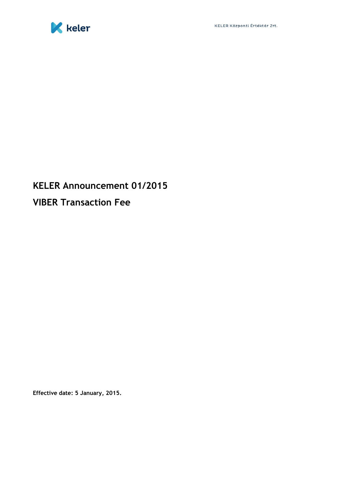

## **KELER Announcement 01/2015 VIBER Transaction Fee**

**Effective date: 5 January, 2015.**